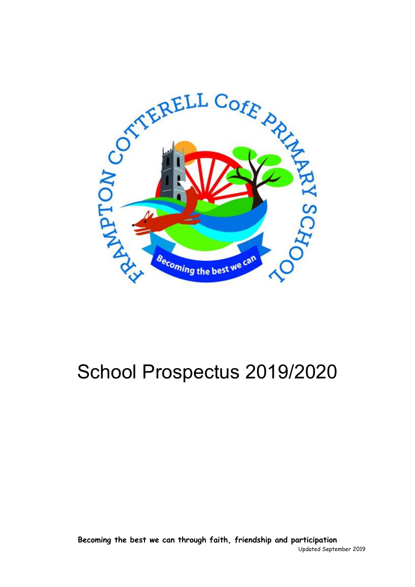

# School Prospectus 2019/2020

**Becoming the best we can through faith, friendship and participation** Updated September 2019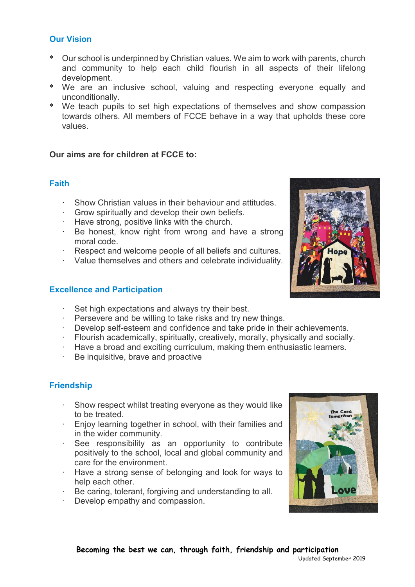# **Our Vision**

- \* Our school is underpinned by Christian values. We aim to work with parents, church and community to help each child flourish in all aspects of their lifelong development.
- \* We are an inclusive school, valuing and respecting everyone equally and unconditionally.
- \* We teach pupils to set high expectations of themselves and show compassion towards others. All members of FCCE behave in a way that upholds these core values.

# **Our aims are for children at FCCE to:**

# **Faith**

- · Show Christian values in their behaviour and attitudes.
- · Grow spiritually and develop their own beliefs.
- · Have strong, positive links with the church.
- · Be honest, know right from wrong and have a strong moral code.
- Respect and welcome people of all beliefs and cultures.
- · Value themselves and others and celebrate individuality.

## **Excellence and Participation**

- Set high expectations and always try their best.
- · Persevere and be willing to take risks and try new things.
- · Develop self-esteem and confidence and take pride in their achievements.
- · Flourish academically, spiritually, creatively, morally, physically and socially.
- · Have a broad and exciting curriculum, making them enthusiastic learners.<br>· Be inquisitive brave and proactive
- Be inquisitive, brave and proactive

## **Friendship**

- Show respect whilst treating everyone as they would like to be treated.
- · Enjoy learning together in school, with their families and in the wider community.
- · See responsibility as an opportunity to contribute positively to the school, local and global community and care for the environment.
- · Have a strong sense of belonging and look for ways to help each other.
- · Be caring, tolerant, forgiving and understanding to all.
- · Develop empathy and compassion.



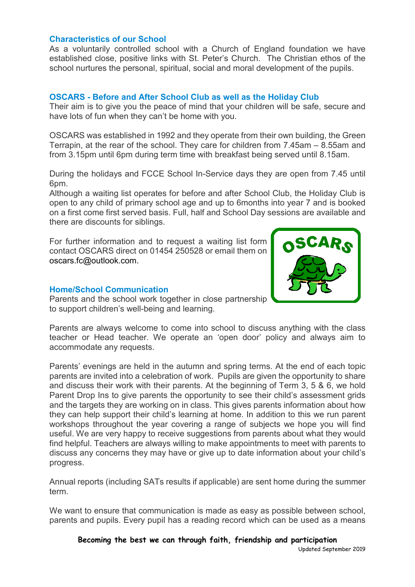## **Characteristics of our School**

As a voluntarily controlled school with a Church of England foundation we have established close, positive links with St. Peter's Church. The Christian ethos of the school nurtures the personal, spiritual, social and moral development of the pupils.

## **OSCARS - Before and After School Club as well as the Holiday Club**

Their aim is to give you the peace of mind that your children will be safe, secure and have lots of fun when they can't be home with you.

OSCARS was established in 1992 and they operate from their own building, the Green Terrapin, at the rear of the school. They care for children from 7.45am – 8.55am and from 3.15pm until 6pm during term time with breakfast being served until 8.15am.

During the holidays and FCCE School In-Service days they are open from 7.45 until 6pm.

Although a waiting list operates for before and after School Club, the Holiday Club is open to any child of primary school age and up to 6months into year 7 and is booked on a first come first served basis. Full, half and School Day sessions are available and there are discounts for siblings.

For further information and to request a waiting list form contact OSCARS direct on 01454 250528 or email them on oscars.fc@outlook.com.

# **Home/School Communication**



Parents and the school work together in close partnership to support children's well-being and learning.

Parents are always welcome to come into school to discuss anything with the class teacher or Head teacher. We operate an 'open door' policy and always aim to accommodate any requests.

Parents' evenings are held in the autumn and spring terms. At the end of each topic parents are invited into a celebration of work. Pupils are given the opportunity to share and discuss their work with their parents. At the beginning of Term 3, 5 & 6, we hold Parent Drop Ins to give parents the opportunity to see their child's assessment grids and the targets they are working on in class. This gives parents information about how they can help support their child's learning at home. In addition to this we run parent workshops throughout the year covering a range of subjects we hope you will find useful. We are very happy to receive suggestions from parents about what they would find helpful. Teachers are always willing to make appointments to meet with parents to discuss any concerns they may have or give up to date information about your child's progress.

Annual reports (including SATs results if applicable) are sent home during the summer term.

We want to ensure that communication is made as easy as possible between school, parents and pupils. Every pupil has a reading record which can be used as a means

**Becoming the best we can through faith, friendship and participation** Updated September 2019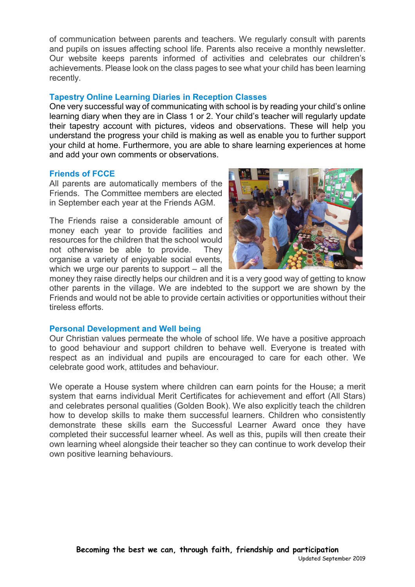of communication between parents and teachers. We regularly consult with parents and pupils on issues affecting school life. Parents also receive a monthly newsletter. Our website keeps parents informed of activities and celebrates our children's achievements. Please look on the class pages to see what your child has been learning recently.

## **Tapestry Online Learning Diaries in Reception Classes**

One very successful way of communicating with school is by reading your child's online learning diary when they are in Class 1 or 2. Your child's teacher will regularly update their tapestry account with pictures, videos and observations. These will help you understand the progress your child is making as well as enable you to further support your child at home. Furthermore, you are able to share learning experiences at home and add your own comments or observations.

## **Friends of FCCE**

All parents are automatically members of the Friends. The Committee members are elected in September each year at the Friends AGM.

The Friends raise a considerable amount of money each year to provide facilities and resources for the children that the school would not otherwise be able to provide. They organise a variety of enjoyable social events, which we urge our parents to support – all the



money they raise directly helps our children and it is a very good way of getting to know other parents in the village. We are indebted to the support we are shown by the Friends and would not be able to provide certain activities or opportunities without their tireless efforts.

#### **Personal Development and Well being**

Our Christian values permeate the whole of school life. We have a positive approach to good behaviour and support children to behave well. Everyone is treated with respect as an individual and pupils are encouraged to care for each other. We celebrate good work, attitudes and behaviour.

We operate a House system where children can earn points for the House; a merit system that earns individual Merit Certificates for achievement and effort (All Stars) and celebrates personal qualities (Golden Book). We also explicitly teach the children how to develop skills to make them successful learners. Children who consistently demonstrate these skills earn the Successful Learner Award once they have completed their successful learner wheel. As well as this, pupils will then create their own learning wheel alongside their teacher so they can continue to work develop their own positive learning behaviours.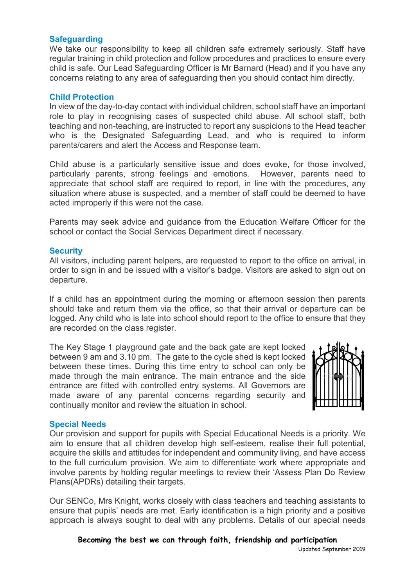## **Safeguarding**

We take our responsibility to keep all children safe extremely seriously. Staff have regular training in child protection and follow procedures and practices to ensure every child is safe. Our Lead Safeguarding Officer is Mr Barnard (Head) and if you have any concerns relating to any area of safeguarding then you should contact him directly.

#### **Child Protection**

In view of the day-to-day contact with individual children, school staff have an important role to play in recognising cases of suspected child abuse. All school staff, both teaching and non-teaching, are instructed to report any suspicions to the Head teacher who is the Designated Safeguarding Lead, and who is required to inform parents/carers and alert the Access and Response team.

Child abuse is a particularly sensitive issue and does evoke, for those involved, particularly parents, strong feelings and emotions. However, parents need to appreciate that school staff are required to report, in line with the procedures, any situation where abuse is suspected, and a member of staff could be deemed to have acted improperly if this were not the case.

Parents may seek advice and guidance from the Education Welfare Officer for the school or contact the Social Services Department direct if necessary.

#### **Security**

All visitors, including parent helpers, are requested to report to the office on arrival, in order to sign in and be issued with a visitor's badge. Visitors are asked to sign out on departure.

If a child has an appointment during the morning or afternoon session then parents should take and return them via the office, so that their arrival or departure can be logged. Any child who is late into school should report to the office to ensure that they are recorded on the class register.

The Key Stage 1 playground gate and the back gate are kept locked between 9 am and 3.10 pm. The gate to the cycle shed is kept locked between these times. During this time entry to school can only be made through the main entrance. The main entrance and the side entrance are fitted with controlled entry systems. All Governors are made aware of any parental concerns regarding security and continually monitor and review the situation in school.



## **Special Needs**

Our provision and support for pupils with Special Educational Needs is a priority. We aim to ensure that all children develop high self-esteem, realise their full potential, acquire the skills and attitudes for independent and community living, and have access to the full curriculum provision. We aim to differentiate work where appropriate and involve parents by holding regular meetings to review their 'Assess Plan Do Review Plans(APDRs) detailing their targets.

Our SENCo, Mrs Knight, works closely with class teachers and teaching assistants to ensure that pupils' needs are met. Early identification is a high priority and a positive approach is always sought to deal with any problems. Details of our special needs

**Becoming the best we can through faith, friendship and participation**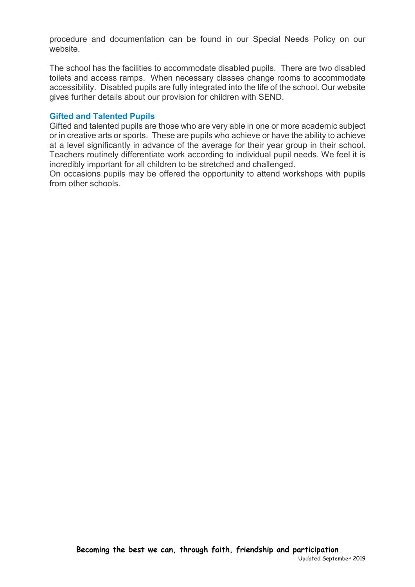procedure and documentation can be found in our Special Needs Policy on our website.

The school has the facilities to accommodate disabled pupils. There are two disabled toilets and access ramps. When necessary classes change rooms to accommodate accessibility. Disabled pupils are fully integrated into the life of the school. Our website gives further details about our provision for children with SEND.

## **Gifted and Talented Pupils**

Gifted and talented pupils are those who are very able in one or more academic subject or in creative arts or sports. These are pupils who achieve or have the ability to achieve at a level significantly in advance of the average for their year group in their school. Teachers routinely differentiate work according to individual pupil needs. We feel it is incredibly important for all children to be stretched and challenged.

On occasions pupils may be offered the opportunity to attend workshops with pupils from other schools.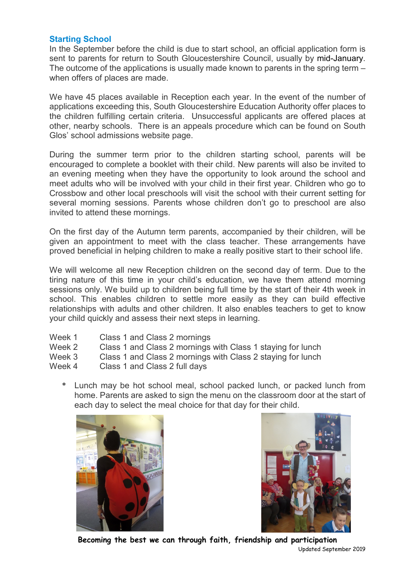## **Starting School**

In the September before the child is due to start school, an official application form is sent to parents for return to South Gloucestershire Council, usually by mid-January. The outcome of the applications is usually made known to parents in the spring term – when offers of places are made.

We have 45 places available in Reception each year. In the event of the number of applications exceeding this, South Gloucestershire Education Authority offer places to the children fulfilling certain criteria. Unsuccessful applicants are offered places at other, nearby schools. There is an appeals procedure which can be found on South Glos' school admissions website page.

During the summer term prior to the children starting school, parents will be encouraged to complete a booklet with their child. New parents will also be invited to an evening meeting when they have the opportunity to look around the school and meet adults who will be involved with your child in their first year. Children who go to Crossbow and other local preschools will visit the school with their current setting for several morning sessions. Parents whose children don't go to preschool are also invited to attend these mornings.

On the first day of the Autumn term parents, accompanied by their children, will be given an appointment to meet with the class teacher. These arrangements have proved beneficial in helping children to make a really positive start to their school life.

We will welcome all new Reception children on the second day of term. Due to the tiring nature of this time in your child's education, we have them attend morning sessions only. We build up to children being full time by the start of their 4th week in school. This enables children to settle more easily as they can build effective relationships with adults and other children. It also enables teachers to get to know your child quickly and assess their next steps in learning.

| Week 1 | Class 1 and Class 2 mornings                                |
|--------|-------------------------------------------------------------|
| Week 2 | Class 1 and Class 2 mornings with Class 1 staying for lunch |
| Week 3 | Class 1 and Class 2 mornings with Class 2 staying for lunch |
| Week 4 | Class 1 and Class 2 full days                               |

\* Lunch may be hot school meal, school packed lunch, or packed lunch from home. Parents are asked to sign the menu on the classroom door at the start of each day to select the meal choice for that day for their child.





**Becoming the best we can through faith, friendship and participation** Updated September 2019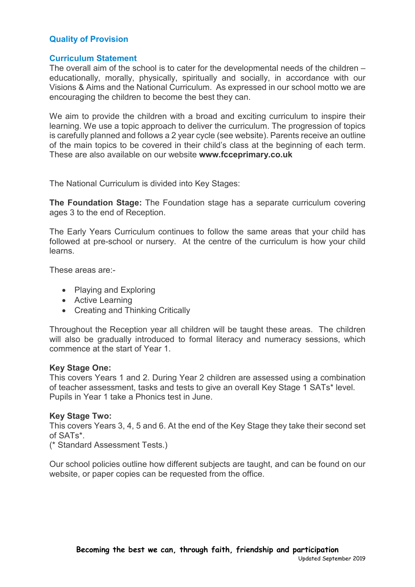# **Quality of Provision**

## **Curriculum Statement**

The overall aim of the school is to cater for the developmental needs of the children – educationally, morally, physically, spiritually and socially, in accordance with our Visions & Aims and the National Curriculum. As expressed in our school motto we are encouraging the children to become the best they can.

We aim to provide the children with a broad and exciting curriculum to inspire their learning. We use a topic approach to deliver the curriculum. The progression of topics is carefully planned and follows a 2 year cycle (see website). Parents receive an outline of the main topics to be covered in their child's class at the beginning of each term. These are also available on our website **www.fcceprimary.co.uk**

The National Curriculum is divided into Key Stages:

**The Foundation Stage:** The Foundation stage has a separate curriculum covering ages 3 to the end of Reception.

The Early Years Curriculum continues to follow the same areas that your child has followed at pre-school or nursery. At the centre of the curriculum is how your child learns.

These areas are:-

- Playing and Exploring
- Active Learning
- Creating and Thinking Critically

Throughout the Reception year all children will be taught these areas. The children will also be gradually introduced to formal literacy and numeracy sessions, which commence at the start of Year 1.

#### **Key Stage One:**

This covers Years 1 and 2. During Year 2 children are assessed using a combination of teacher assessment, tasks and tests to give an overall Key Stage 1 SATs\* level. Pupils in Year 1 take a Phonics test in June.

#### **Key Stage Two:**

This covers Years 3, 4, 5 and 6. At the end of the Key Stage they take their second set of SATs\*.

(\* Standard Assessment Tests.)

Our school policies outline how different subjects are taught, and can be found on our website, or paper copies can be requested from the office.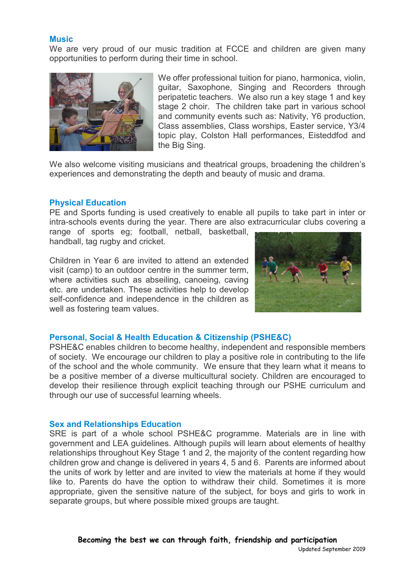#### **Music**

We are very proud of our music tradition at FCCE and children are given many opportunities to perform during their time in school.



We offer professional tuition for piano, harmonica, violin, guitar, Saxophone, Singing and Recorders through peripatetic teachers. We also run a key stage 1 and key stage 2 choir. The children take part in various school and community events such as: Nativity, Y6 production, Class assemblies, Class worships, Easter service, Y3/4 topic play, Colston Hall performances, Eisteddfod and the Big Sing.

We also welcome visiting musicians and theatrical groups, broadening the children's experiences and demonstrating the depth and beauty of music and drama.

#### **Physical Education**

PE and Sports funding is used creatively to enable all pupils to take part in inter or intra-schools events during the year. There are also extracurricular clubs covering a

range of sports eg; football, netball, basketball, handball, tag rugby and cricket.

Children in Year 6 are invited to attend an extended visit (camp) to an outdoor centre in the summer term, where activities such as abseiling, canoeing, caving etc. are undertaken. These activities help to develop self-confidence and independence in the children as well as fostering team values.



#### **Personal, Social & Health Education & Citizenship (PSHE&C)**

PSHE&C enables children to become healthy, independent and responsible members of society. We encourage our children to play a positive role in contributing to the life of the school and the whole community. We ensure that they learn what it means to be a positive member of a diverse multicultural society. Children are encouraged to develop their resilience through explicit teaching through our PSHE curriculum and through our use of successful learning wheels.

#### **Sex and Relationships Education**

SRE is part of a whole school PSHE&C programme. Materials are in line with government and LEA guidelines. Although pupils will learn about elements of healthy relationships throughout Key Stage 1 and 2, the majority of the content regarding how children grow and change is delivered in years 4, 5 and 6. Parents are informed about the units of work by letter and are invited to view the materials at home if they would like to. Parents do have the option to withdraw their child. Sometimes it is more appropriate, given the sensitive nature of the subject, for boys and girls to work in separate groups, but where possible mixed groups are taught.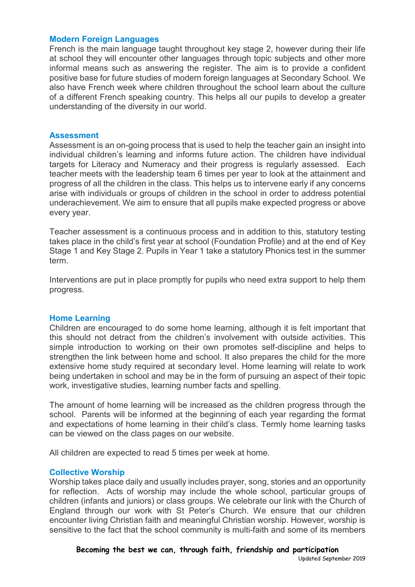#### **Modern Foreign Languages**

French is the main language taught throughout key stage 2, however during their life at school they will encounter other languages through topic subjects and other more informal means such as answering the register. The aim is to provide a confident positive base for future studies of modern foreign languages at Secondary School. We also have French week where children throughout the school learn about the culture of a different French speaking country. This helps all our pupils to develop a greater understanding of the diversity in our world.

#### **Assessment**

Assessment is an on-going process that is used to help the teacher gain an insight into individual children's learning and informs future action. The children have individual targets for Literacy and Numeracy and their progress is regularly assessed. Each teacher meets with the leadership team 6 times per year to look at the attainment and progress of all the children in the class. This helps us to intervene early if any concerns arise with individuals or groups of children in the school in order to address potential underachievement. We aim to ensure that all pupils make expected progress or above every year.

Teacher assessment is a continuous process and in addition to this, statutory testing takes place in the child's first year at school (Foundation Profile) and at the end of Key Stage 1 and Key Stage 2. Pupils in Year 1 take a statutory Phonics test in the summer term.

Interventions are put in place promptly for pupils who need extra support to help them progress.

## **Home Learning**

Children are encouraged to do some home learning, although it is felt important that this should not detract from the children's involvement with outside activities. This simple introduction to working on their own promotes self-discipline and helps to strengthen the link between home and school. It also prepares the child for the more extensive home study required at secondary level. Home learning will relate to work being undertaken in school and may be in the form of pursuing an aspect of their topic work, investigative studies, learning number facts and spelling.

The amount of home learning will be increased as the children progress through the school. Parents will be informed at the beginning of each year regarding the format and expectations of home learning in their child's class. Termly home learning tasks can be viewed on the class pages on our website.

All children are expected to read 5 times per week at home.

#### **Collective Worship**

Worship takes place daily and usually includes prayer, song, stories and an opportunity for reflection. Acts of worship may include the whole school, particular groups of children (infants and juniors) or class groups. We celebrate our link with the Church of England through our work with St Peter's Church. We ensure that our children encounter living Christian faith and meaningful Christian worship. However, worship is sensitive to the fact that the school community is multi-faith and some of its members

**Becoming the best we can, through faith, friendship and participation**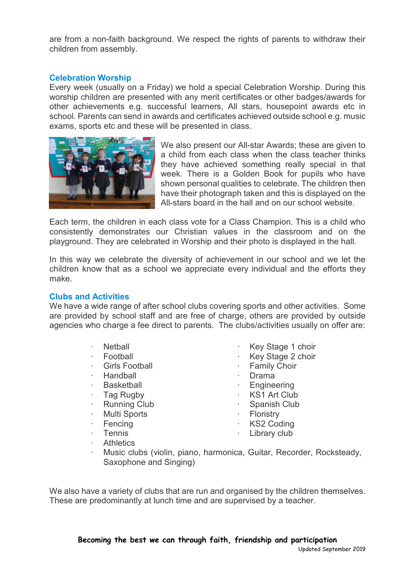are from a non-faith background. We respect the rights of parents to withdraw their children from assembly.

# **Celebration Worship**

Every week (usually on a Friday) we hold a special Celebration Worship. During this worship children are presented with any merit certificates or other badges/awards for other achievements e.g. successful learners, All stars, housepoint awards etc in school. Parents can send in awards and certificates achieved outside school e.g. music exams, sports etc and these will be presented in class.



We also present our All-star Awards; these are given to a child from each class when the class teacher thinks they have achieved something really special in that week. There is a Golden Book for pupils who have shown personal qualities to celebrate. The children then have their photograph taken and this is displayed on the All-stars board in the hall and on our school website.

Each term, the children in each class vote for a Class Champion. This is a child who consistently demonstrates our Christian values in the classroom and on the playground. They are celebrated in Worship and their photo is displayed in the hall.

In this way we celebrate the diversity of achievement in our school and we let the children know that as a school we appreciate every individual and the efforts they make.

## **Clubs and Activities**

We have a wide range of after school clubs covering sports and other activities. Some are provided by school staff and are free of charge, others are provided by outside agencies who charge a fee direct to parents. The clubs/activities usually on offer are:

- · Netball
- · Football
- **Girls Football**
- · Handball
- **Basketball**
- Tag Rugby
- **Running Club**
- Multi Sports
- **Fencing**
- Key Stage 1 choir
- Key Stage 2 choir
- **Family Choir**
- · Drama
- · Engineering
- KS1 Art Club
- Spanish Club
- **Floristry**
- **KS2 Coding**
- Library club
- **Tennis Athletics**
- · Music clubs (violin, piano, harmonica, Guitar, Recorder, Rocksteady, Saxophone and Singing)

We also have a variety of clubs that are run and organised by the children themselves. These are predominantly at lunch time and are supervised by a teacher.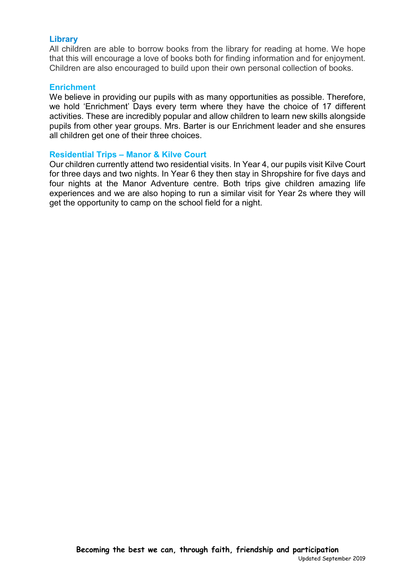## **Library**

All children are able to borrow books from the library for reading at home. We hope that this will encourage a love of books both for finding information and for enjoyment. Children are also encouraged to build upon their own personal collection of books.

#### **Enrichment**

We believe in providing our pupils with as many opportunities as possible. Therefore, we hold 'Enrichment' Days every term where they have the choice of 17 different activities. These are incredibly popular and allow children to learn new skills alongside pupils from other year groups. Mrs. Barter is our Enrichment leader and she ensures all children get one of their three choices.

## **Residential Trips – Manor & Kilve Court**

Our children currently attend two residential visits. In Year 4, our pupils visit Kilve Court for three days and two nights. In Year 6 they then stay in Shropshire for five days and four nights at the Manor Adventure centre. Both trips give children amazing life experiences and we are also hoping to run a similar visit for Year 2s where they will get the opportunity to camp on the school field for a night.